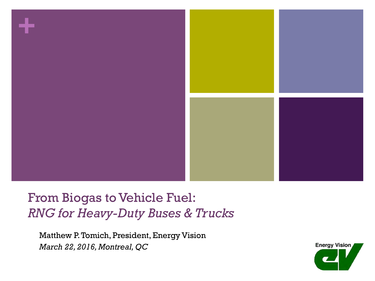

### From Biogas to Vehicle Fuel: *RNG for Heavy-Duty Buses & Trucks*

Matthew P. Tomich, President, Energy Vision *March 22, 2016, Montreal, QC*

**Energy Vision**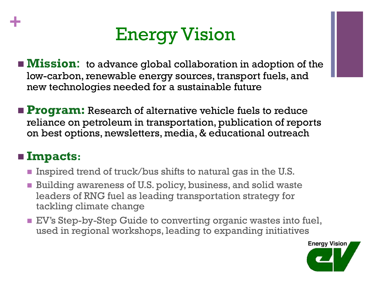

- **IMission:** to advance global collaboration in adoption of the low-carbon, renewable energy sources, transport fuels, and new technologies needed for a sustainable future
- **Program:** Research of alternative vehicle fuels to reduce reliance on petroleum in transportation, publication of reports on best options, newsletters, media, & educational outreach

#### ! **Impacts:**

**+**

- **I** Inspired trend of truck/bus shifts to natural gas in the U.S.
- **E** Building awareness of U.S. policy, business, and solid waste leaders of RNG fuel as leading transportation strategy for tackling climate change
- **EV's Step-by-Step Guide to converting organic wastes into fuel,** used in regional workshops, leading to expanding initiatives

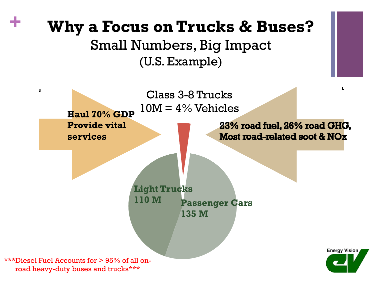# **Why a Focus on Trucks & Buses?**

**+**

Small Numbers, Big Impact (U.S. Example)

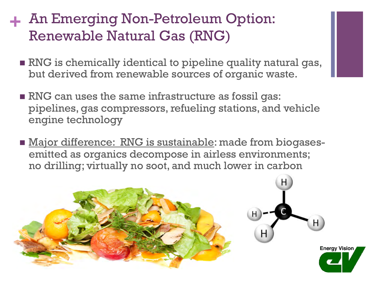# **+** An Emerging Non-Petroleum Option: Renewable Natural Gas (RNG)

- **RNG** is chemically identical to pipeline quality natural gas, but derived from renewable sources of organic waste.
- **RNG** can uses the same infrastructure as fossil gas: pipelines, gas compressors, refueling stations, and vehicle engine technology
- **II Major difference: RNG is sustainable: made from biogases**emitted as organics decompose in airless environments; no drilling; virtually no soot, and much lower in carbon

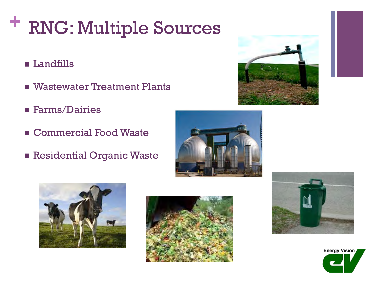# **+** RNG: Multiple Sources

- **E** Landfills
- **E** Wastewater Treatment Plants
- **Example 1** Farms/Dairies
- **E** Commercial Food Waste
- **Exercise 2 Residential Organic Waste**











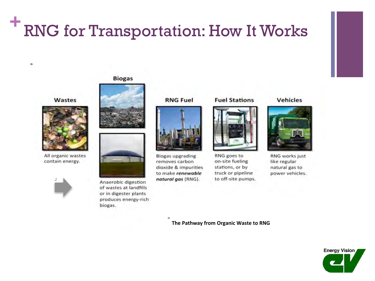#### **+** RNG for Transportation: How It Works

#### Wastes

 $\blacksquare$ 



All organic wastes contain energy.



#### **Biogas**

Anaerobic digestion of wastes at landfills or in digester plants produces energy-rich

biogas.

**RNG Fuel** 



**Biogas upgrading** removes carbon dioxide & impurities to make renewable natural gas (RNG).

**Fuel Stations** 



RNG goes to on-site fueling stations, or by truck or pipeline to off-site pumps.

**Vehicles** 



**RNG works just** like regular natural gas to power vehicles.

**The Pathway from Organic Waste to RNG** 

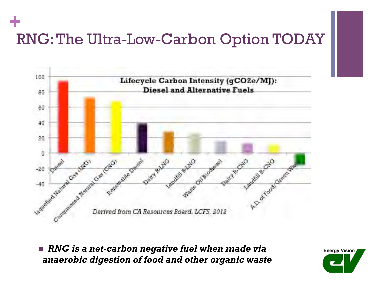# **+** RNG: The Ultra-Low-Carbon Option TODAY



■ *RNG is a net-carbon negative fuel when made via anaerobic digestion of food and other organic waste* 

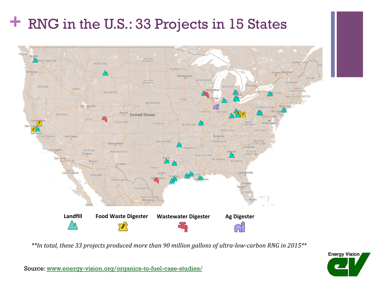# **+** RNG in the U.S.: 33 Projects in 15 States



\*\*In total, these 33 projects produced more than 90 million gallons of ultra-low-carbon RNG in 2015<sup>\*\*</sup>



Source: www.energy-vision.org/organics-to-fuel-case-studies/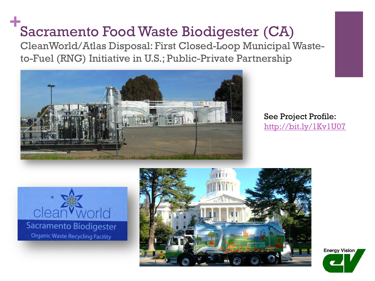# **+**Sacramento Food Waste Biodigester (CA)

CleanWorld/Atlas Disposal: First Closed-Loop Municipal Wasteto-Fuel (RNG) Initiative in U.S.; Public-Private Partnership



See Project Profile: http://bit.ly/1Kv1U07



**Organic Waste Recycling Facility** 



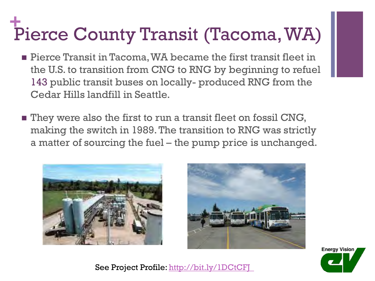## **+** Pierce County Transit (Tacoma, WA)

- **Example Transit in Tacoma, WA became the first transit fleet in** the U.S. to transition from CNG to RNG by beginning to refuel 143 public transit buses on locally- produced RNG from the Cedar Hills landfill in Seattle.
- **.** They were also the first to run a transit fleet on fossil CNG, making the switch in 1989. The transition to RNG was strictly a matter of sourcing the fuel – the pump price is unchanged.







See Project Profile: http://bit.ly/1DCtCFJ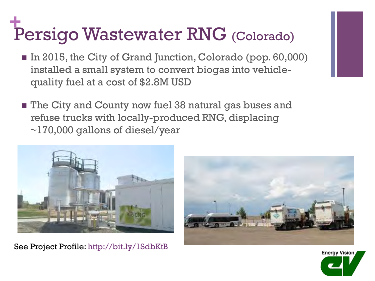# **+** Persigo Wastewater RNG (Colorado)

- In 2015, the City of Grand Junction, Colorado (pop. 60,000) installed a small system to convert biogas into vehiclequality fuel at a cost of \$2.8M USD
- ! The City and County now fuel 38 natural gas buses and refuse trucks with locally-produced RNG, displacing ~170,000 gallons of diesel/year



See Project Profile: http://bit.ly/1SdbKtB



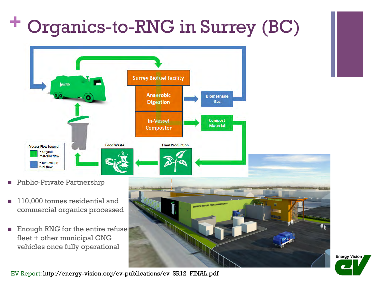# **+** Organics-to-RNG in Surrey (BC)



- **E** Public-Private Partnership
- **IIO,000 tonnes residential and** commercial organics processed
- **Enough RNG for the entire refuse** fleet + other municipal CNG vehicles once fully operational

EV Report: http://energy-vision.org/ev-publications/ev\_SR12\_FINAL.pdf

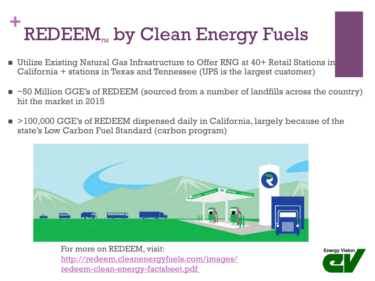# **+** REDEEM<sub>TM</sub> by Clean Energy Fuels

- **Utilize Existing Natural Gas Infrastructure to Offer RNG at 40+ Retail Stations in** California + stations in Texas and Tennessee (UPS is the largest customer)
- $\blacksquare$  ~50 Million GGE's of REDEEM (sourced from a number of landfills across the country) hit the market in 2015
- $\blacksquare$  >100,000 GGE's of REDEEM dispensed daily in California, largely because of the state's Low Carbon Fuel Standard (carbon program)



For more on REDEEM, visit: http://redeem.cleanenergyfuels.com/images/ redeem-clean-energy-factsheet.pdf

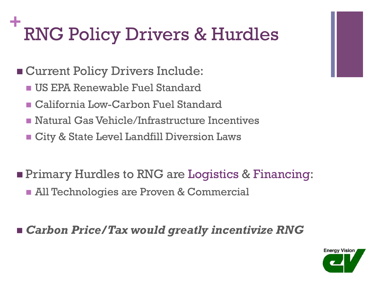# **+** RNG Policy Drivers & Hurdles

- ! Current Policy Drivers Include:
	- **II US EPA Renewable Fuel Standard**
	- **E.** California Low-Carbon Fuel Standard
	- ! Natural Gas Vehicle/Infrastructure Incentives
	- **Example 2 Islams** City & State Level Landfill Diversion Laws
- **Example 1** Primary Hurdles to RNG are Logistics & Financing: **EAll Technologies are Proven & Commercial**

! *Carbon Price/Tax would greatly incentivize RNG* 

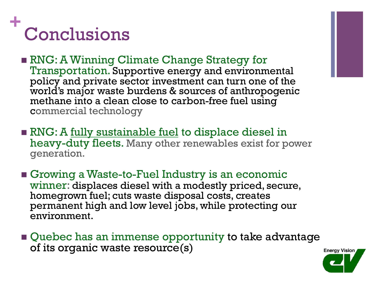

- **RNG: A Winning Climate Change Strategy for** Transportation. Supportive energy and environmental policy and private sector investment can turn one of the world's major waste burdens & sources of anthropogenic methane into a clean close to carbon-free fuel using commercial technology
- **RNG:** A <u>fully sustainable fuel</u> to displace diesel in heavy-duty fleets. Many other renewables exist for power generation.
- **Example 3 Growing a Waste-to-Fuel Industry is an economic** winner: displaces diesel with a modestly priced, secure, homegrown fuel; cuts waste disposal costs, creates permanent high and low level jobs, while protecting our environment.
- **.** Quebec has an immense opportunity to take advantage of its organic waste resource(s)